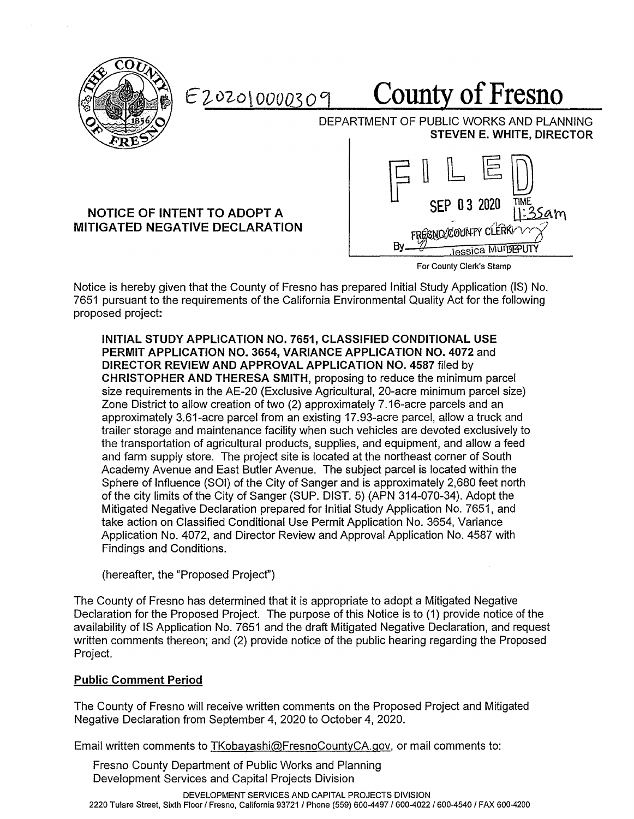

Ez,02-ol *OOOQ3* o °) **County of Fresno** 

DEPARTMENT OF PUBLIC WORKS AND PLANNING **STEVEN E. WHITE, DIRECTOR** 

## **NOTICE OF INTENT TO ADOPT A MITIGATED NEGATIVE DECLARATION**



For County Clerk's Stamp

Notice is hereby given that the County of Fresno has prepared Initial Study Application (IS) No. 7651 pursuant to the requirements of the California Environmental Quality Act for the following proposed project:

**INITIAL STUDY APPLICATION NO. 7651, CLASSIFIED CONDITIONAL USE PERMIT APPLICATION NO. 3654, VARIANCE APPLICATION NO. 4072** and **DIRECTOR REVIEW AND APPROVAL APPLICATION NO. 4587** filed by **CHRISTOPHER AND THERESA SMITH,** proposing to reduce the minimum parcel size requirements in the AE-20 (Exclusive Agricultural, 20-acre minimum parcel size) Zone District to allow creation of two (2) approximately 7 .16-acre parcels and an approximately 3.61-acre parcel from an existing 17.93-acre parcel, allow a truck and trailer storage and maintenance facility when such vehicles are devoted exclusively to the transportation of agricultural products, supplies, and equipment, and allow a feed and farm supply store. The project site is located at the northeast corner of South Academy Avenue and East Butler Avenue. The subject parcel is located within the Sphere of Influence (SOI) of the City of Sanger and is approximately 2,680 feet north of the city limits of the City of Sanger (SUP. DIST. 5) (APN 314-070-34). Adopt the Mitigated Negative Declaration prepared for Initial Study Application No. 7651, and take action on Classified Conditional Use Permit Application No. 3654, Variance Application No. 4072, and Director Review and Approval Application No. 4587 with Findings and Conditions.

(hereafter, the "Proposed Project")

The County of Fresno has determined that it is appropriate to adopt a Mitigated Negative Declaration for the Proposed Project. The purpose of this Notice is to (1) provide notice of the availability of IS Application No. 7651 and the draft Mitigated Negative Declaration, and request written comments thereon; and (2) provide notice of the public hearing regarding the Proposed Project.

### **Public Comment Period**

The County of Fresno will receive written comments on the Proposed Project and Mitigated Negative Declaration from September 4, 2020 to October 4, 2020.

Email written comments to TKobayashi@FresnoCountyCA.gov, or mail comments to:

Fresno County Department of Public Works and Planning Development Services and Capital Projects Division

DEVELOPMENT SERVICES AND CAPITAL PROJECTS DIVISION 2220 Tulare Street, Sixth Floor I Fresno, California 93721 / Phone (559) 600-4497 / 600-4022 / 600-4540 / FAX 600-4200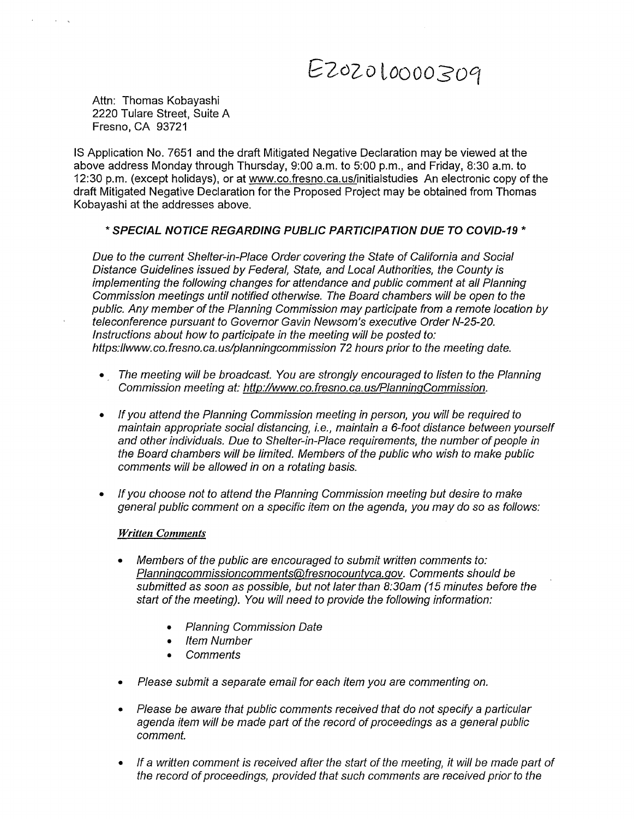# *G2°zo loooosocr*

Attn: Thomas Kobayashi 2220 Tulare Street, Suite A Fresno, CA 93721

IS Application No. 7651 and the draft Mitigated Negative Declaration may be viewed at the above address Monday through Thursday, 9:00 a.m. to 5:00 p.m., and Friday, 8:30 a.m. to 12:30 p.m. (except holidays), or at www.co.fresno.ca.us/initialstudies An electronic copy of the draft Mitigated Negative Declaration for the Proposed Project may be obtained from Thomas Kobayashi at the addresses above.

#### \* **SPECIAL NOTICE REGARDING PUBLIC PARTICIPATION DUE TO COVID-19** \*

Due to the current Shelter-in-Place Order covering the State of California and Social Distance Guidelines issued by Federal, State, and Local Authorities, the County is implementing the following changes for attendance and public comment at all Planning Commission meetings until notified otherwise. The Board chambers will be open to the public. Any member of the Planning Commission may participate from a remote location by teleconference pursuant to Governor Gavin Newsom's executive Order N-25-20. Instructions about how to participate in the meeting will be posted to: https://www.co.fresno.ca.us/planningcommission 72 hours prior to the meeting date.

- The meeting will be broadcast. You are strongly encouraged to listen to the Planning Commission meeting at: http://www. co.fresno. ca. us/PlanningCommission.
- If you attend the Planning Commission meeting in person, you will be required to maintain appropriate social distancing, i.e., maintain a 6-foot distance between yourself and other individuals. Due to Shelter-in-Place requirements, the number of people in the Board chambers will be limited. Members of the public who wish to make public comments will be allowed in on a rotating basis.
- If you choose not to attend the Planning Commission meeting but desire to make general public comment on a specific item on the agenda, you may do so as follows:

#### *Written Comments*

- Members of the public are encouraged to submit written comments to: Planningcommissioncomments@fresnocountyca.gov. Comments should be submitted as soon as possible, but not later than 8:30am (15 minutes before the start of the meeting). You will need to provide the following information:
	- Planning Commission Date
	- Item Number
	- **Comments**
- Please submit a separate email for each item you are commenting on.
- Please be aware that public comments received that do not specify a particular agenda item will be made part of the record of proceedings as a general public comment.
- If a written comment is received after the start of the meeting, it will be made part of the record of proceedings, provided that such comments are received prior to the